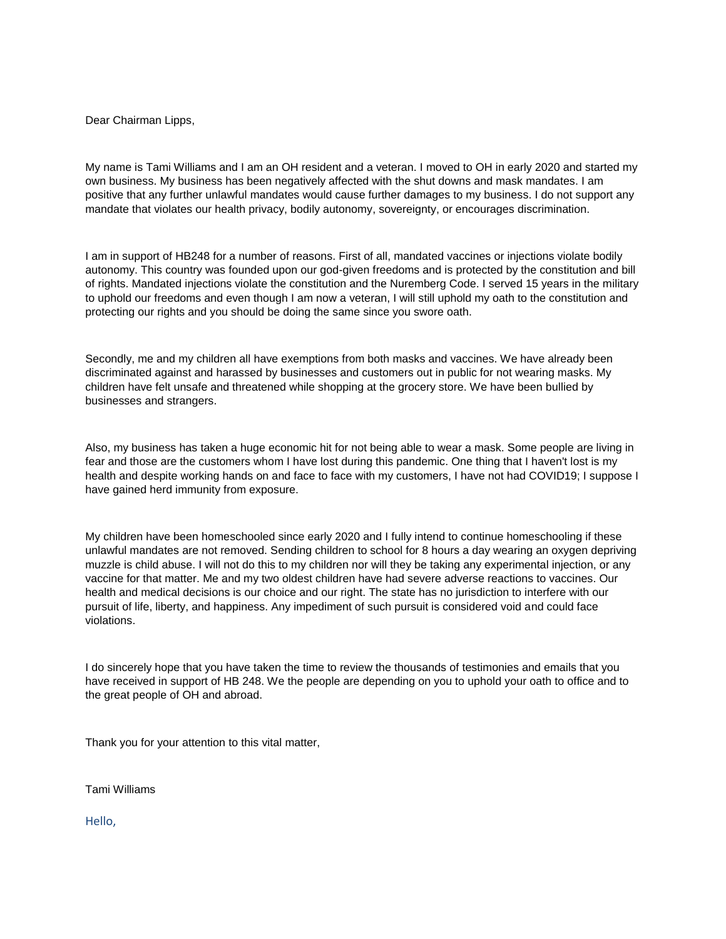Dear Chairman Lipps,

My name is Tami Williams and I am an OH resident and a veteran. I moved to OH in early 2020 and started my own business. My business has been negatively affected with the shut downs and mask mandates. I am positive that any further unlawful mandates would cause further damages to my business. I do not support any mandate that violates our health privacy, bodily autonomy, sovereignty, or encourages discrimination.

I am in support of HB248 for a number of reasons. First of all, mandated vaccines or injections violate bodily autonomy. This country was founded upon our god-given freedoms and is protected by the constitution and bill of rights. Mandated injections violate the constitution and the Nuremberg Code. I served 15 years in the military to uphold our freedoms and even though I am now a veteran, I will still uphold my oath to the constitution and protecting our rights and you should be doing the same since you swore oath.

Secondly, me and my children all have exemptions from both masks and vaccines. We have already been discriminated against and harassed by businesses and customers out in public for not wearing masks. My children have felt unsafe and threatened while shopping at the grocery store. We have been bullied by businesses and strangers.

Also, my business has taken a huge economic hit for not being able to wear a mask. Some people are living in fear and those are the customers whom I have lost during this pandemic. One thing that I haven't lost is my health and despite working hands on and face to face with my customers, I have not had COVID19; I suppose I have gained herd immunity from exposure.

My children have been homeschooled since early 2020 and I fully intend to continue homeschooling if these unlawful mandates are not removed. Sending children to school for 8 hours a day wearing an oxygen depriving muzzle is child abuse. I will not do this to my children nor will they be taking any experimental injection, or any vaccine for that matter. Me and my two oldest children have had severe adverse reactions to vaccines. Our health and medical decisions is our choice and our right. The state has no jurisdiction to interfere with our pursuit of life, liberty, and happiness. Any impediment of such pursuit is considered void and could face violations.

I do sincerely hope that you have taken the time to review the thousands of testimonies and emails that you have received in support of HB 248. We the people are depending on you to uphold your oath to office and to the great people of OH and abroad.

Thank you for your attention to this vital matter,

Tami Williams

Hello,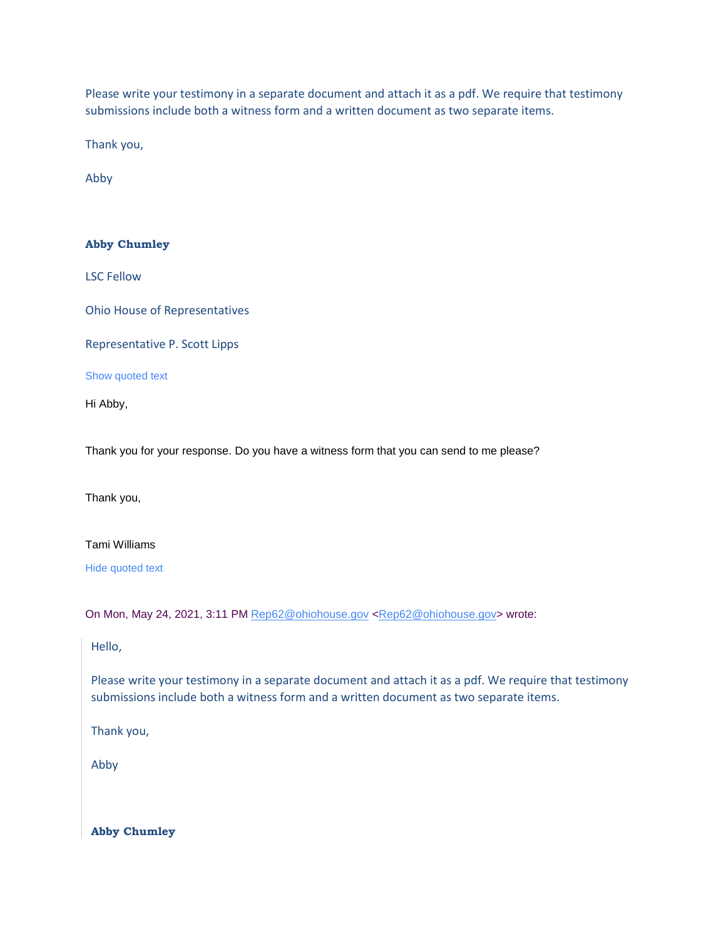Please write your testimony in a separate document and attach it as a pdf. We require that testimony submissions include both a witness form and a written document as two separate items.

Thank you,

Abby

## **Abby Chumley**

LSC Fellow

Ohio House of Representatives

Representative P. Scott Lipps

Show quoted text

Hi Abby,

Thank you for your response. Do you have a witness form that you can send to me please?

Thank you,

Tami Williams

Hide quoted text

On Mon, May 24, 2021, 3:11 PM [Rep62@ohiohouse.gov](mailto:Rep62@ohiohouse.gov) [<Rep62@ohiohouse.gov>](mailto:Rep62@ohiohouse.gov) wrote:

## Hello,

Please write your testimony in a separate document and attach it as a pdf. We require that testimony submissions include both a witness form and a written document as two separate items.

Thank you,

Abby

**Abby Chumley**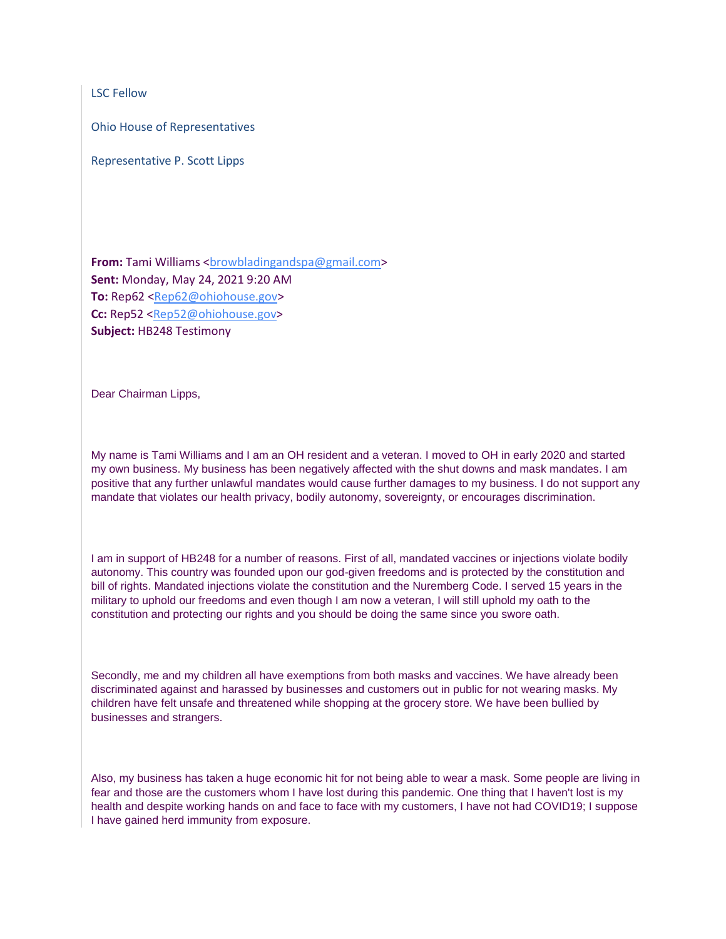LSC Fellow

Ohio House of Representatives

Representative P. Scott Lipps

**From:** Tami Williams [<browbladingandspa@gmail.com>](mailto:browbladingandspa@gmail.com) **Sent:** Monday, May 24, 2021 9:20 AM **To:** Rep62 [<Rep62@ohiohouse.gov>](mailto:Rep62@ohiohouse.gov) **Cc:** Rep52 [<Rep52@ohiohouse.gov>](mailto:Rep52@ohiohouse.gov) **Subject:** HB248 Testimony

Dear Chairman Lipps,

My name is Tami Williams and I am an OH resident and a veteran. I moved to OH in early 2020 and started my own business. My business has been negatively affected with the shut downs and mask mandates. I am positive that any further unlawful mandates would cause further damages to my business. I do not support any mandate that violates our health privacy, bodily autonomy, sovereignty, or encourages discrimination.

I am in support of HB248 for a number of reasons. First of all, mandated vaccines or injections violate bodily autonomy. This country was founded upon our god-given freedoms and is protected by the constitution and bill of rights. Mandated injections violate the constitution and the Nuremberg Code. I served 15 years in the military to uphold our freedoms and even though I am now a veteran, I will still uphold my oath to the constitution and protecting our rights and you should be doing the same since you swore oath.

Secondly, me and my children all have exemptions from both masks and vaccines. We have already been discriminated against and harassed by businesses and customers out in public for not wearing masks. My children have felt unsafe and threatened while shopping at the grocery store. We have been bullied by businesses and strangers.

Also, my business has taken a huge economic hit for not being able to wear a mask. Some people are living in fear and those are the customers whom I have lost during this pandemic. One thing that I haven't lost is my health and despite working hands on and face to face with my customers, I have not had COVID19; I suppose I have gained herd immunity from exposure.